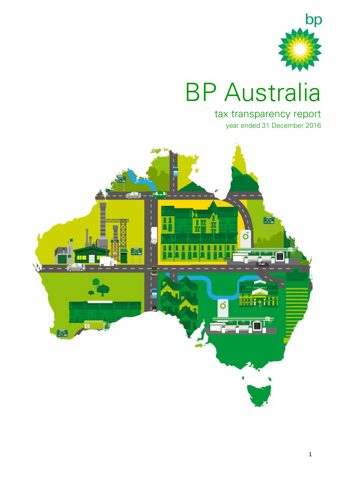

# BP Australia

## tax transparency report year ended 31 December 2016

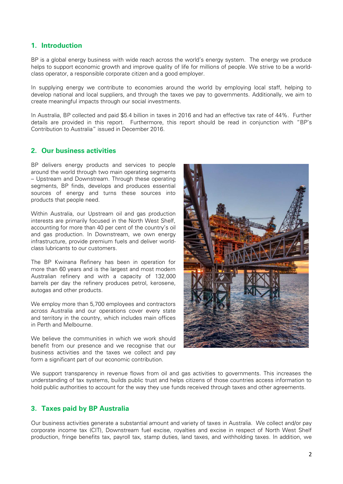## **1. Introduction**

BP is a global energy business with wide reach across the world's energy system. The energy we produce helps to support economic growth and improve quality of life for millions of people. We strive to be a worldclass operator, a responsible corporate citizen and a good employer.

In supplying energy we contribute to economies around the world by employing local staff, helping to develop national and local suppliers, and through the taxes we pay to governments. Additionally, we aim to create meaningful impacts through our social investments.

In Australia, BP collected and paid \$5.4 billion in taxes in 2016 and had an effective tax rate of 44%. Further details are provided in this report. Furthermore, this report should be read in conjunction with "BP's Contribution to Australia" issued in December 2016.

### **2. Our business activities**

BP delivers energy products and services to people around the world through two main operating segments – Upstream and Downstream. Through these operating segments, BP finds, develops and produces essential sources of energy and turns these sources into products that people need.

Within Australia, our Upstream oil and gas production interests are primarily focused in the North West Shelf, accounting for more than 40 per cent of the country's oil and gas production. In Downstream, we own energy infrastructure, provide premium fuels and deliver worldclass lubricants to our customers.

The BP Kwinana Refinery has been in operation for more than 60 years and is the largest and most modern Australian refinery and with a capacity of 132,000 barrels per day the refinery produces petrol, kerosene, autogas and other products.

We employ more than 5,700 employees and contractors across Australia and our operations cover every state and territory in the country, which includes main offices in Perth and Melbourne.

We believe the communities in which we work should benefit from our presence and we recognise that our business activities and the taxes we collect and pay form a significant part of our economic contribution.



We support transparency in revenue flows from oil and gas activities to governments. This increases the understanding of tax systems, builds public trust and helps citizens of those countries access information to hold public authorities to account for the way they use funds received through taxes and other agreements.

## **3. Taxes paid by BP Australia**

Our business activities generate a substantial amount and variety of taxes in Australia. We collect and/or pay corporate income tax (CIT), Downstream fuel excise, royalties and excise in respect of North West Shelf production, fringe benefits tax, payroll tax, stamp duties, land taxes, and withholding taxes. In addition, we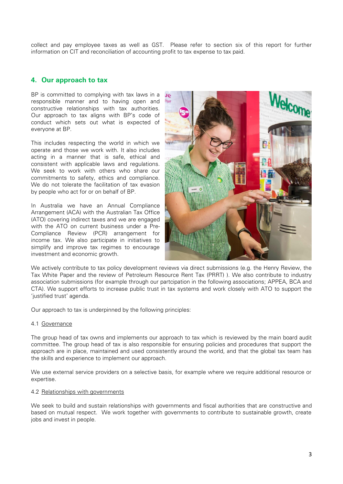collect and pay employee taxes as well as GST. Please refer to section six of this report for further information on CIT and reconciliation of accounting profit to tax expense to tax paid.

## **4. Our approach to tax**

BP is committed to complying with tax laws in a responsible manner and to having open and constructive relationships with tax authorities. Our approach to tax aligns with BP's code of conduct which sets out what is expected of everyone at BP.

This includes respecting the world in which we operate and those we work with. It also includes acting in a manner that is safe, ethical and consistent with applicable laws and regulations. We seek to work with others who share our commitments to safety, ethics and compliance. We do not tolerate the facilitation of tax evasion by people who act for or on behalf of BP.

In Australia we have an Annual Compliance Arrangement (ACA) with the Australian Tax Office (ATO) covering indirect taxes and we are engaged with the ATO on current business under a Pre-Compliance Review (PCR) arrangement for income tax. We also participate in initiatives to simplify and improve tax regimes to encourage investment and economic growth.



We actively contribute to tax policy development reviews via direct submissions (e.g. the Henry Review, the Tax White Paper and the review of Petroleum Resource Rent Tax (PRRT) ). We also contribute to industry association submissions (for example through our partcipation in the following associations; APPEA, BCA and CTA). We support efforts to increase public trust in tax systems and work closely with ATO to support the 'justified trust' agenda.

Our approach to tax is underpinned by the following principles:

#### 4.1 Governance

The group head of tax owns and implements our approach to tax which is reviewed by the main board audit committee. The group head of tax is also responsible for ensuring policies and procedures that support the approach are in place, maintained and used consistently around the world, and that the global tax team has the skills and experience to implement our approach.

We use external service providers on a selective basis, for example where we require additional resource or expertise.

#### 4.2 Relationships with governments

We seek to build and sustain relationships with governments and fiscal authorities that are constructive and based on mutual respect. We work together with governments to contribute to sustainable growth, create jobs and invest in people.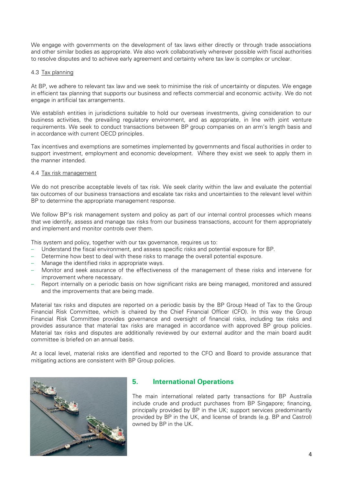We engage with governments on the development of tax laws either directly or through trade associations and other similar bodies as appropriate. We also work collaboratively wherever possible with fiscal authorities to resolve disputes and to achieve early agreement and certainty where tax law is complex or unclear.

#### 4.3 Tax planning

At BP, we adhere to relevant tax law and we seek to minimise the risk of uncertainty or disputes. We engage in efficient tax planning that supports our business and reflects commercial and economic activity. We do not engage in artificial tax arrangements.

We establish entities in jurisdictions suitable to hold our overseas investments, giving consideration to our business activities, the prevailing regulatory environment, and as appropriate, in line with joint venture requirements. We seek to conduct transactions between BP group companies on an arm's length basis and in accordance with current OECD principles.

Tax incentives and exemptions are sometimes implemented by governments and fiscal authorities in order to support investment, employment and economic development. Where they exist we seek to apply them in the manner intended.

#### 4.4 Tax risk management

We do not prescribe acceptable levels of tax risk. We seek clarity within the law and evaluate the potential tax outcomes of our business transactions and escalate tax risks and uncertainties to the relevant level within BP to determine the appropriate management response.

We follow BP's risk management system and policy as part of our internal control processes which means that we identify, assess and manage tax risks from our business transactions, account for them appropriately and implement and monitor controls over them.

This system and policy, together with our tax governance, requires us to:

- Understand the fiscal environment, and assess specific risks and potential exposure for BP.
- Determine how best to deal with these risks to manage the overall potential exposure.
- Manage the identified risks in appropriate ways.
- Monitor and seek assurance of the effectiveness of the management of these risks and intervene for improvement where necessary.
- Report internally on a periodic basis on how significant risks are being managed, monitored and assured and the improvements that are being made.

Material tax risks and disputes are reported on a periodic basis by the BP Group Head of Tax to the Group Financial Risk Committee, which is chaired by the Chief Financial Officer (CFO). In this way the Group Financial Risk Committee provides governance and oversight of financial risks, including tax risks and provides assurance that material tax risks are managed in accordance with approved BP group policies. Material tax risks and disputes are additionally reviewed by our external auditor and the main board audit committee is briefed on an annual basis.

At a local level, material risks are identified and reported to the CFO and Board to provide assurance that mitigating actions are consistent with BP Group policies.



## **5. International Operations**

The main international related party transactions for BP Australia include crude and product purchases from BP Singapore; financing, principally provided by BP in the UK; support services predominantly provided by BP in the UK, and license of brands (e.g. BP and Castrol) owned by BP in the UK.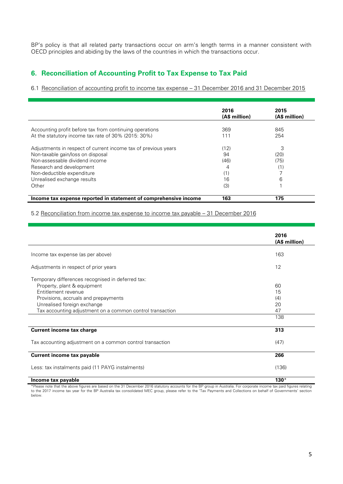BP's policy is that all related party transactions occur on arm's length terms in a manner consistent with OECD principles and abiding by the laws of the countries in which the transactions occur.

## **6. Reconciliation of Accounting Profit to Tax Expense to Tax Paid**

6.1 Reconciliation of accounting profit to income tax expense – 31 December 2016 and 31 December 2015

|                                                                                                                                                                   | 2016<br>(A\$ million)   | 2015<br>(A\$ million) |
|-------------------------------------------------------------------------------------------------------------------------------------------------------------------|-------------------------|-----------------------|
| Accounting profit before tax from continuing operations<br>At the statutory income tax rate of 30% (2015: 30%)                                                    | 369<br>111              | 845<br>254            |
| Adjustments in respect of current income tax of previous years<br>Non-taxable gain/loss on disposal<br>Non-assessable dividend income<br>Research and development | (12)<br>94<br>(46)<br>4 | 3<br>(20)<br>(75)     |
| Non-deductible expenditure<br>Unrealised exchange results<br>Other                                                                                                | (1)<br>16<br>(3)        | 6                     |
| Income tax expense reported in statement of comprehensive income                                                                                                  | 163                     | 175                   |

5.2 Reconciliation from income tax expense to income tax payable – 31 December 2016

|                                                                                                                                                 | 2016<br>(A\$ million) |
|-------------------------------------------------------------------------------------------------------------------------------------------------|-----------------------|
| Income tax expense (as per above)                                                                                                               | 163                   |
| Adjustments in respect of prior years                                                                                                           | 12                    |
| Temporary differences recognised in deferred tax:<br>Property, plant & equipment<br>Entitlement revenue<br>Provisions, accruals and prepayments | 60<br>15<br>(4)       |
| Unrealised foreign exchange<br>Tax accounting adjustment on a common control transaction                                                        | 20<br>47              |
|                                                                                                                                                 | 138                   |
| <b>Current income tax charge</b>                                                                                                                | 313                   |
| Tax accounting adjustment on a common control transaction                                                                                       | (47)                  |
| <b>Current income tax payable</b>                                                                                                               | 266                   |
| Less: tax instalments paid (11 PAYG instalments)                                                                                                | (136)                 |
| Income tax payable                                                                                                                              | $130*$                |

\*Please note that the above figures are based on the 31 December 2016 statutory accounts for the BP group in Australia. For corporate income tax paid figures relating<br>to the 2017 income tax year for the BP Australia tax co below.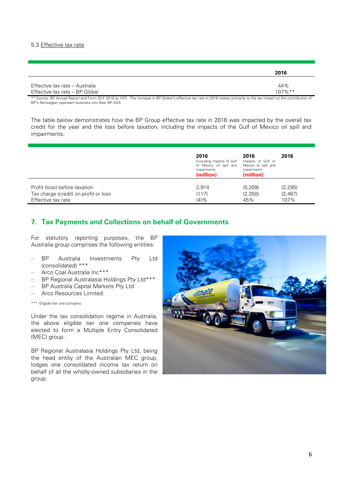#### 5.3 Effective tax rate

|                                | 2016       |
|--------------------------------|------------|
|                                |            |
| Effective tax rate – Australia | 44%        |
| Effective tax rate - BP Global | $107\%$ ** |

\*\* Source: BP Annual Report and Form 20-F 2016 (p.147). The increase in BP Global's effective tax rate in 2016 relates primarily to the tax impact on the contribution of BP's Norwegian upstream business into Aker BP ASA.

The table below demonstrates how the BP Group effective tax rate in 2016 was impacted by the overall tax credit for the year and the loss before taxation, including the impacts of the Gulf of Mexico oil spill and impairments.

|                                       | 2016<br>Excluding impacts of Gulf<br>of Mexico oil spill and<br>impairments<br>(million) | 2016<br>Impacts of Gulf of<br>Mexico oil spill and<br>impairments<br>(million) | 2016     |
|---------------------------------------|------------------------------------------------------------------------------------------|--------------------------------------------------------------------------------|----------|
| Profit (loss) before taxation         | 2.914                                                                                    | (5, 209)                                                                       | (2, 295) |
| Tax charge (credit) on profit or loss | (117)                                                                                    | (2,350)                                                                        | (2,467)  |
| Effective tax rate                    | $(4)$ %                                                                                  | 45%                                                                            | 107%     |

## **7. Tax Payments and Collections on behalf of Governments**

For statutory reporting purposes, the BP Australia group comprises the following entities:

- BP Australia Investments Pty Ltd (consolidated) \*\*\*
- Arco Coal Australia Inc\*\*\*
- BP Regional Australasia Holdings Pty Ltd\*\*\*
- BP Australia Capital Markets Pty Ltd
- Arco Resources Limited.

\*\*\* Eligible tier one company

Under the tax consolidation regime in Australia, the above eligible tier one companies have elected to form a Multiple Entry Consolidated (MEC) group.

BP Regional Australasia Holdings Pty Ltd, being the head entity of the Australian MEC group, lodges one consolidated income tax return on behalf of all the wholly-owned subsidiaries in the group.